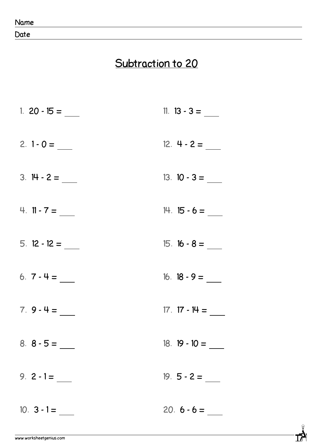Date

## **Subtraction to 20**

| 1. $20 - 15 =$ | 11. $13 - 3 =$  |
|----------------|-----------------|
| $2. 1 - 0 =$   | $12.4 - 2 =$    |
| $3.14 - 2 =$   | $13. 10 - 3 =$  |
| 4. $11 - 7 =$  | $14. 15 - 6 =$  |
| $5.12 - 12 =$  | $15. 16 - 8 =$  |
| 6. $7 - 4 =$   | 16. $18 - 9 =$  |
| $7.9 - 4 =$    | $17. 17 - 14 =$ |
|                | $18. 19 - 10 =$ |
| 9. $2 - 1 =$   |                 |
| $10.3 - 1 =$   | $20.6 - 6 =$    |

 $\vec{R}$